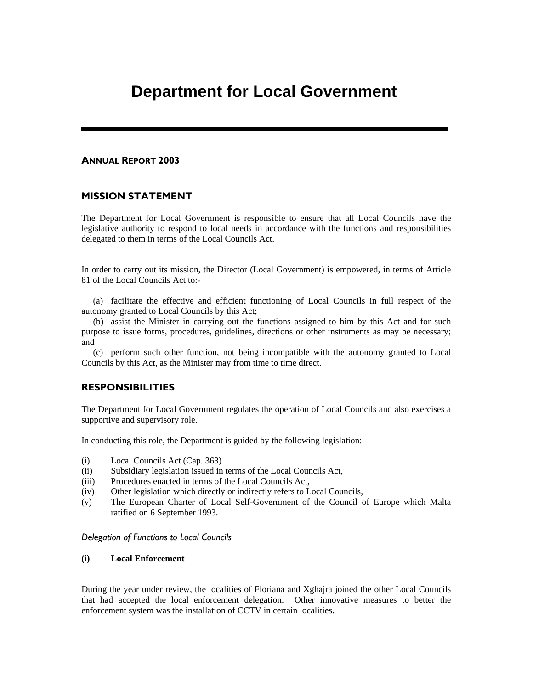# **Department for Local Government**

#### ANNUAL REPORT 2003

#### MISSION STATEMENT

The Department for Local Government is responsible to ensure that all Local Councils have the legislative authority to respond to local needs in accordance with the functions and responsibilities delegated to them in terms of the Local Councils Act.

In order to carry out its mission, the Director (Local Government) is empowered, in terms of Article 81 of the Local Councils Act to:-

(a) facilitate the effective and efficient functioning of Local Councils in full respect of the autonomy granted to Local Councils by this Act;

(b) assist the Minister in carrying out the functions assigned to him by this Act and for such purpose to issue forms, procedures, guidelines, directions or other instruments as may be necessary; and

(c) perform such other function, not being incompatible with the autonomy granted to Local Councils by this Act, as the Minister may from time to time direct.

### RESPONSIBILITIES

The Department for Local Government regulates the operation of Local Councils and also exercises a supportive and supervisory role.

In conducting this role, the Department is guided by the following legislation:

- (i) Local Councils Act (Cap. 363)
- (ii) Subsidiary legislation issued in terms of the Local Councils Act,
- (iii) Procedures enacted in terms of the Local Councils Act,
- (iv) Other legislation which directly or indirectly refers to Local Councils,
- (v) The European Charter of Local Self-Government of the Council of Europe which Malta ratified on 6 September 1993.

#### Delegation of Functions to Local Councils

#### **(i) Local Enforcement**

During the year under review, the localities of Floriana and Xghajra joined the other Local Councils that had accepted the local enforcement delegation. Other innovative measures to better the enforcement system was the installation of CCTV in certain localities.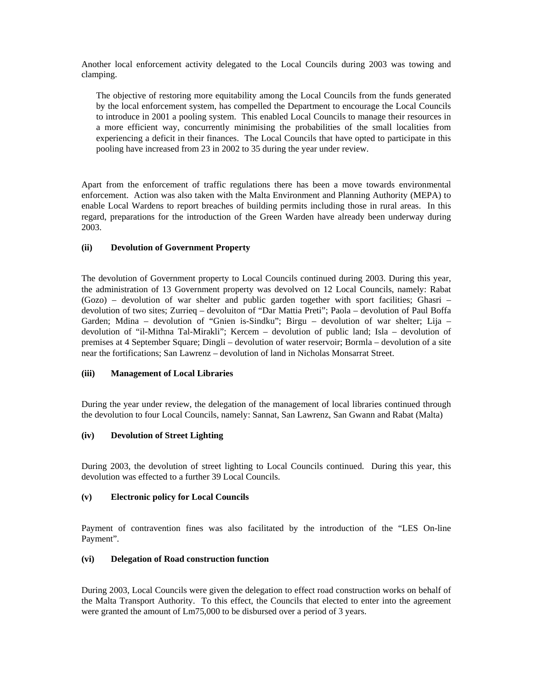Another local enforcement activity delegated to the Local Councils during 2003 was towing and clamping.

The objective of restoring more equitability among the Local Councils from the funds generated by the local enforcement system, has compelled the Department to encourage the Local Councils to introduce in 2001 a pooling system. This enabled Local Councils to manage their resources in a more efficient way, concurrently minimising the probabilities of the small localities from experiencing a deficit in their finances. The Local Councils that have opted to participate in this pooling have increased from 23 in 2002 to 35 during the year under review.

Apart from the enforcement of traffic regulations there has been a move towards environmental enforcement. Action was also taken with the Malta Environment and Planning Authority (MEPA) to enable Local Wardens to report breaches of building permits including those in rural areas. In this regard, preparations for the introduction of the Green Warden have already been underway during 2003.

#### **(ii) Devolution of Government Property**

The devolution of Government property to Local Councils continued during 2003. During this year, the administration of 13 Government property was devolved on 12 Local Councils, namely: Rabat (Gozo) – devolution of war shelter and public garden together with sport facilities; Ghasri – devolution of two sites; Zurrieq – devoluiton of "Dar Mattia Preti"; Paola – devolution of Paul Boffa Garden; Mdina – devolution of "Gnien is-Sindku"; Birgu – devolution of war shelter; Lija – devolution of "il-Mithna Tal-Mirakli"; Kercem – devolution of public land; Isla – devolution of premises at 4 September Square; Dingli – devolution of water reservoir; Bormla – devolution of a site near the fortifications; San Lawrenz – devolution of land in Nicholas Monsarrat Street.

## **(iii) Management of Local Libraries**

During the year under review, the delegation of the management of local libraries continued through the devolution to four Local Councils, namely: Sannat, San Lawrenz, San Gwann and Rabat (Malta)

## **(iv) Devolution of Street Lighting**

During 2003, the devolution of street lighting to Local Councils continued. During this year, this devolution was effected to a further 39 Local Councils.

#### **(v) Electronic policy for Local Councils**

Payment of contravention fines was also facilitated by the introduction of the "LES On-line Payment".

#### **(vi) Delegation of Road construction function**

During 2003, Local Councils were given the delegation to effect road construction works on behalf of the Malta Transport Authority. To this effect, the Councils that elected to enter into the agreement were granted the amount of Lm75,000 to be disbursed over a period of 3 years.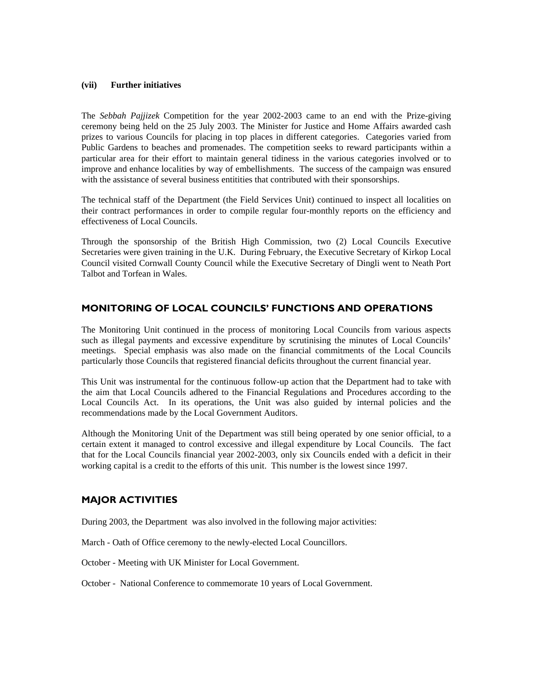#### **(vii) Further initiatives**

The *Sebbah Pajjizek* Competition for the year 2002-2003 came to an end with the Prize-giving ceremony being held on the 25 July 2003. The Minister for Justice and Home Affairs awarded cash prizes to various Councils for placing in top places in different categories. Categories varied from Public Gardens to beaches and promenades. The competition seeks to reward participants within a particular area for their effort to maintain general tidiness in the various categories involved or to improve and enhance localities by way of embellishments. The success of the campaign was ensured with the assistance of several business entitities that contributed with their sponsorships.

The technical staff of the Department (the Field Services Unit) continued to inspect all localities on their contract performances in order to compile regular four-monthly reports on the efficiency and effectiveness of Local Councils.

Through the sponsorship of the British High Commission, two (2) Local Councils Executive Secretaries were given training in the U.K. During February, the Executive Secretary of Kirkop Local Council visited Cornwall County Council while the Executive Secretary of Dingli went to Neath Port Talbot and Torfean in Wales.

# MONITORING OF LOCAL COUNCILS' FUNCTIONS AND OPERATIONS

The Monitoring Unit continued in the process of monitoring Local Councils from various aspects such as illegal payments and excessive expenditure by scrutinising the minutes of Local Councils' meetings. Special emphasis was also made on the financial commitments of the Local Councils particularly those Councils that registered financial deficits throughout the current financial year.

This Unit was instrumental for the continuous follow-up action that the Department had to take with the aim that Local Councils adhered to the Financial Regulations and Procedures according to the Local Councils Act. In its operations, the Unit was also guided by internal policies and the recommendations made by the Local Government Auditors.

Although the Monitoring Unit of the Department was still being operated by one senior official, to a certain extent it managed to control excessive and illegal expenditure by Local Councils. The fact that for the Local Councils financial year 2002-2003, only six Councils ended with a deficit in their working capital is a credit to the efforts of this unit. This number is the lowest since 1997.

# MAJOR ACTIVITIES

During 2003, the Department was also involved in the following major activities:

March - Oath of Office ceremony to the newly-elected Local Councillors.

October - Meeting with UK Minister for Local Government.

October - National Conference to commemorate 10 years of Local Government.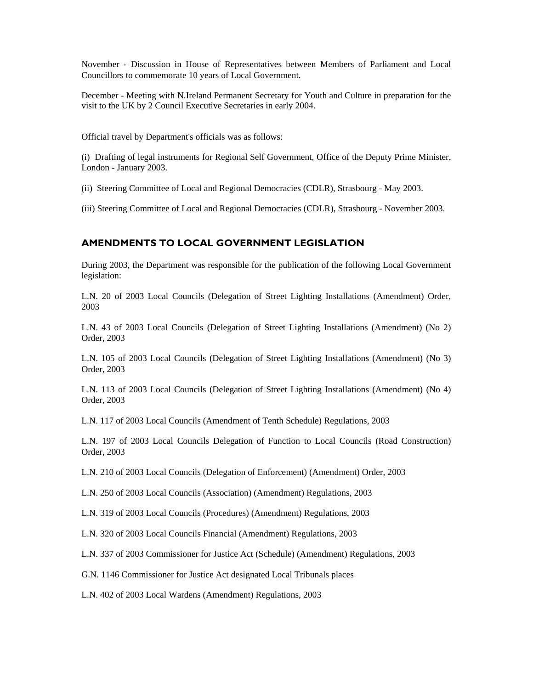November - Discussion in House of Representatives between Members of Parliament and Local Councillors to commemorate 10 years of Local Government.

December - Meeting with N.Ireland Permanent Secretary for Youth and Culture in preparation for the visit to the UK by 2 Council Executive Secretaries in early 2004.

Official travel by Department's officials was as follows:

(i) Drafting of legal instruments for Regional Self Government, Office of the Deputy Prime Minister, London - January 2003.

(ii) Steering Committee of Local and Regional Democracies (CDLR), Strasbourg - May 2003.

(iii) Steering Committee of Local and Regional Democracies (CDLR), Strasbourg - November 2003.

## AMENDMENTS TO LOCAL GOVERNMENT LEGISLATION

During 2003, the Department was responsible for the publication of the following Local Government legislation:

L.N. 20 of 2003 Local Councils (Delegation of Street Lighting Installations (Amendment) Order, 2003

L.N. 43 of 2003 Local Councils (Delegation of Street Lighting Installations (Amendment) (No 2) Order, 2003

L.N. 105 of 2003 Local Councils (Delegation of Street Lighting Installations (Amendment) (No 3) Order, 2003

L.N. 113 of 2003 Local Councils (Delegation of Street Lighting Installations (Amendment) (No 4) Order, 2003

L.N. 117 of 2003 Local Councils (Amendment of Tenth Schedule) Regulations, 2003

L.N. 197 of 2003 Local Councils Delegation of Function to Local Councils (Road Construction) Order, 2003

L.N. 210 of 2003 Local Councils (Delegation of Enforcement) (Amendment) Order, 2003

L.N. 250 of 2003 Local Councils (Association) (Amendment) Regulations, 2003

L.N. 319 of 2003 Local Councils (Procedures) (Amendment) Regulations, 2003

L.N. 320 of 2003 Local Councils Financial (Amendment) Regulations, 2003

L.N. 337 of 2003 Commissioner for Justice Act (Schedule) (Amendment) Regulations, 2003

G.N. 1146 Commissioner for Justice Act designated Local Tribunals places

L.N. 402 of 2003 Local Wardens (Amendment) Regulations, 2003